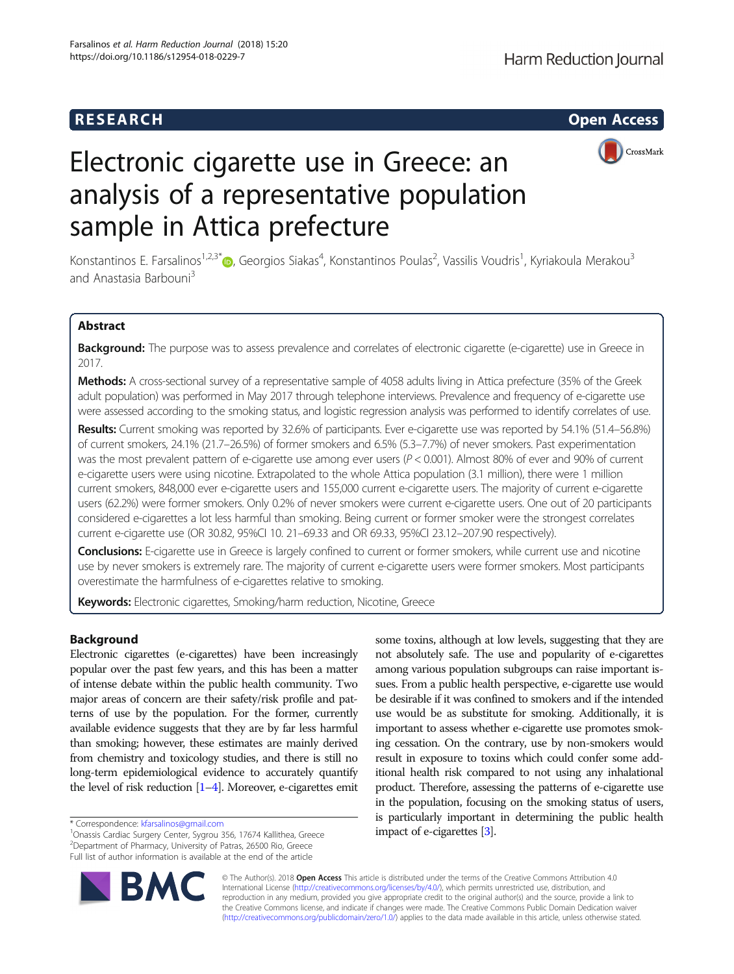## **RESEARCH CHILD CONTROL** CONTROL CONTROL CONTROL CONTROL CONTROL CONTROL CONTROL CONTROL CONTROL CONTROL CONTROL CONTROL CONTROL CONTROL CONTROL CONTROL CONTROL CONTROL CONTROL CONTROL CONTROL CONTROL CONTROL CONTROL CONTR



# Electronic cigarette use in Greece: an analysis of a representative population sample in Attica prefecture

Konstantinos E. Farsalinos<sup>1,2,3[\\*](http://orcid.org/0000-0001-6839-4710)</sup>®, Georgios Siakas<sup>4</sup>, Konstantinos Poulas<sup>2</sup>, Vassilis Voudris<sup>1</sup>, Kyriakoula Merakou<sup>3</sup> and Anastasia Barbouni<sup>3</sup>

## Abstract

Background: The purpose was to assess prevalence and correlates of electronic cigarette (e-cigarette) use in Greece in 2017.

Methods: A cross-sectional survey of a representative sample of 4058 adults living in Attica prefecture (35% of the Greek adult population) was performed in May 2017 through telephone interviews. Prevalence and frequency of e-cigarette use were assessed according to the smoking status, and logistic regression analysis was performed to identify correlates of use.

Results: Current smoking was reported by 32.6% of participants. Ever e-cigarette use was reported by 54.1% (51.4–56.8%) of current smokers, 24.1% (21.7–26.5%) of former smokers and 6.5% (5.3–7.7%) of never smokers. Past experimentation was the most prevalent pattern of e-cigarette use among ever users ( $P < 0.001$ ). Almost 80% of ever and 90% of current e-cigarette users were using nicotine. Extrapolated to the whole Attica population (3.1 million), there were 1 million current smokers, 848,000 ever e-cigarette users and 155,000 current e-cigarette users. The majority of current e-cigarette users (62.2%) were former smokers. Only 0.2% of never smokers were current e-cigarette users. One out of 20 participants considered e-cigarettes a lot less harmful than smoking. Being current or former smoker were the strongest correlates current e-cigarette use (OR 30.82, 95%CI 10. 21–69.33 and OR 69.33, 95%CI 23.12–207.90 respectively).

Conclusions: E-cigarette use in Greece is largely confined to current or former smokers, while current use and nicotine use by never smokers is extremely rare. The majority of current e-cigarette users were former smokers. Most participants overestimate the harmfulness of e-cigarettes relative to smoking.

Keywords: Electronic cigarettes, Smoking/harm reduction, Nicotine, Greece

## Background

Electronic cigarettes (e-cigarettes) have been increasingly popular over the past few years, and this has been a matter of intense debate within the public health community. Two major areas of concern are their safety/risk profile and patterns of use by the population. For the former, currently available evidence suggests that they are by far less harmful than smoking; however, these estimates are mainly derived from chemistry and toxicology studies, and there is still no long-term epidemiological evidence to accurately quantify the level of risk reduction  $[1-4]$  $[1-4]$  $[1-4]$ . Moreover, e-cigarettes emit

**BM** 

<sup>2</sup> Department of Pharmacy, University of Patras, 26500 Rio, Greece Full list of author information is available at the end of the article



© The Author(s). 2018 Open Access This article is distributed under the terms of the Creative Commons Attribution 4.0 International License [\(http://creativecommons.org/licenses/by/4.0/](http://creativecommons.org/licenses/by/4.0/)), which permits unrestricted use, distribution, and reproduction in any medium, provided you give appropriate credit to the original author(s) and the source, provide a link to the Creative Commons license, and indicate if changes were made. The Creative Commons Public Domain Dedication waiver [\(http://creativecommons.org/publicdomain/zero/1.0/](http://creativecommons.org/publicdomain/zero/1.0/)) applies to the data made available in this article, unless otherwise stated.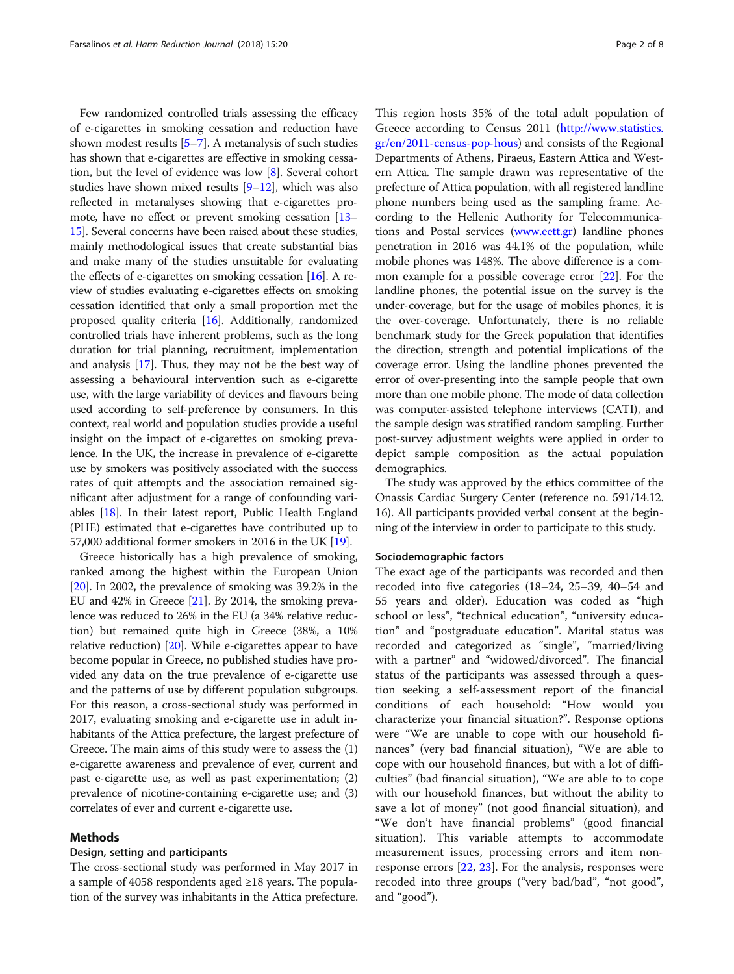Few randomized controlled trials assessing the efficacy of e-cigarettes in smoking cessation and reduction have shown modest results [\[5](#page-6-0)–[7\]](#page-6-0). A metanalysis of such studies has shown that e-cigarettes are effective in smoking cessation, but the level of evidence was low [\[8](#page-6-0)]. Several cohort studies have shown mixed results  $[9-12]$  $[9-12]$  $[9-12]$  $[9-12]$ , which was also reflected in metanalyses showing that e-cigarettes promote, have no effect or prevent smoking cessation [\[13](#page-6-0)– [15](#page-6-0)]. Several concerns have been raised about these studies, mainly methodological issues that create substantial bias and make many of the studies unsuitable for evaluating the effects of e-cigarettes on smoking cessation  $[16]$  $[16]$  $[16]$ . A review of studies evaluating e-cigarettes effects on smoking cessation identified that only a small proportion met the proposed quality criteria [\[16\]](#page-6-0). Additionally, randomized controlled trials have inherent problems, such as the long duration for trial planning, recruitment, implementation and analysis [\[17\]](#page-6-0). Thus, they may not be the best way of assessing a behavioural intervention such as e-cigarette use, with the large variability of devices and flavours being used according to self-preference by consumers. In this context, real world and population studies provide a useful insight on the impact of e-cigarettes on smoking prevalence. In the UK, the increase in prevalence of e-cigarette use by smokers was positively associated with the success rates of quit attempts and the association remained significant after adjustment for a range of confounding variables [\[18\]](#page-6-0). In their latest report, Public Health England (PHE) estimated that e-cigarettes have contributed up to 57,000 additional former smokers in 2016 in the UK [\[19\]](#page-6-0).

Greece historically has a high prevalence of smoking, ranked among the highest within the European Union [[20](#page-7-0)]. In 2002, the prevalence of smoking was 39.2% in the EU and 42% in Greece [[21](#page-7-0)]. By 2014, the smoking prevalence was reduced to 26% in the EU (a 34% relative reduction) but remained quite high in Greece (38%, a 10% relative reduction) [[20](#page-7-0)]. While e-cigarettes appear to have become popular in Greece, no published studies have provided any data on the true prevalence of e-cigarette use and the patterns of use by different population subgroups. For this reason, a cross-sectional study was performed in 2017, evaluating smoking and e-cigarette use in adult inhabitants of the Attica prefecture, the largest prefecture of Greece. The main aims of this study were to assess the (1) e-cigarette awareness and prevalence of ever, current and past e-cigarette use, as well as past experimentation; (2) prevalence of nicotine-containing e-cigarette use; and (3) correlates of ever and current e-cigarette use.

## Methods

#### Design, setting and participants

The cross-sectional study was performed in May 2017 in a sample of 4058 respondents aged ≥18 years. The population of the survey was inhabitants in the Attica prefecture.

This region hosts 35% of the total adult population of Greece according to Census 2011 ([http://www.statistics.](http://www.statistics.gr/en/2011-census-pop-hous) [gr/en/2011-census-pop-hous](http://www.statistics.gr/en/2011-census-pop-hous)) and consists of the Regional Departments of Athens, Piraeus, Eastern Attica and Western Attica. The sample drawn was representative of the prefecture of Attica population, with all registered landline phone numbers being used as the sampling frame. According to the Hellenic Authority for Telecommunications and Postal services [\(www.eett.gr\)](http://www.eett.gr) landline phones penetration in 2016 was 44.1% of the population, while mobile phones was 148%. The above difference is a common example for a possible coverage error [[22](#page-7-0)]. For the landline phones, the potential issue on the survey is the under-coverage, but for the usage of mobiles phones, it is the over-coverage. Unfortunately, there is no reliable benchmark study for the Greek population that identifies the direction, strength and potential implications of the coverage error. Using the landline phones prevented the error of over-presenting into the sample people that own more than one mobile phone. The mode of data collection was computer-assisted telephone interviews (CATI), and the sample design was stratified random sampling. Further post-survey adjustment weights were applied in order to depict sample composition as the actual population demographics.

The study was approved by the ethics committee of the Onassis Cardiac Surgery Center (reference no. 591/14.12. 16). All participants provided verbal consent at the beginning of the interview in order to participate to this study.

## Sociodemographic factors

The exact age of the participants was recorded and then recoded into five categories (18–24, 25–39, 40–54 and 55 years and older). Education was coded as "high school or less", "technical education", "university education" and "postgraduate education". Marital status was recorded and categorized as "single", "married/living with a partner" and "widowed/divorced". The financial status of the participants was assessed through a question seeking a self-assessment report of the financial conditions of each household: "How would you characterize your financial situation?". Response options were "We are unable to cope with our household finances" (very bad financial situation), "We are able to cope with our household finances, but with a lot of difficulties" (bad financial situation), "We are able to to cope with our household finances, but without the ability to save a lot of money" (not good financial situation), and "We don't have financial problems" (good financial situation). This variable attempts to accommodate measurement issues, processing errors and item nonresponse errors [\[22,](#page-7-0) [23\]](#page-7-0). For the analysis, responses were recoded into three groups ("very bad/bad", "not good", and "good").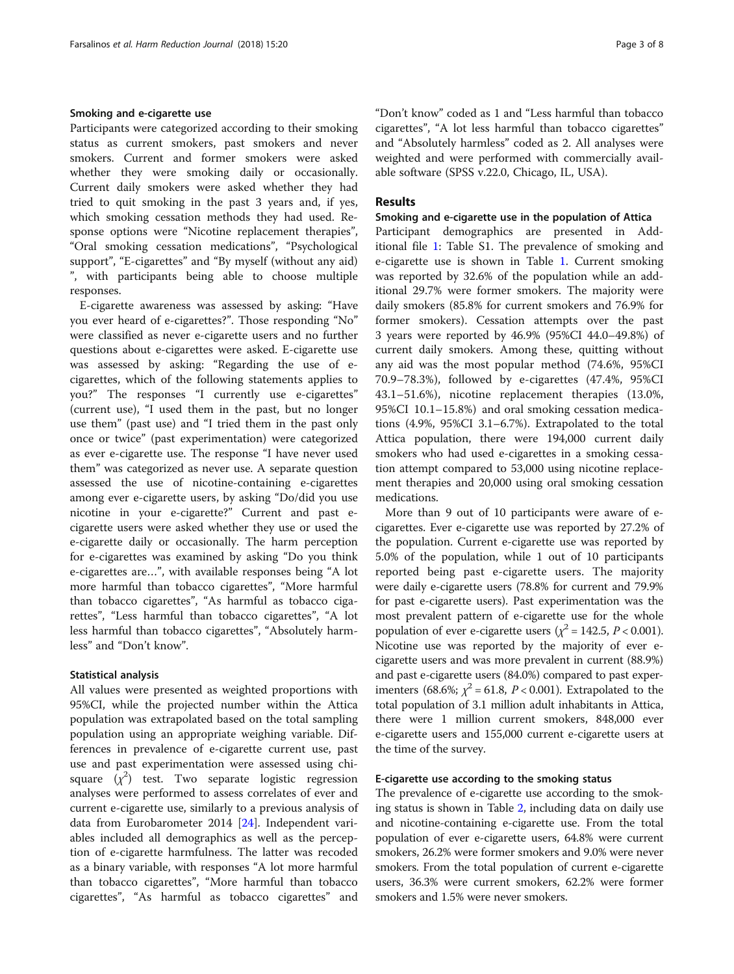## Smoking and e-cigarette use

Participants were categorized according to their smoking status as current smokers, past smokers and never smokers. Current and former smokers were asked whether they were smoking daily or occasionally. Current daily smokers were asked whether they had tried to quit smoking in the past 3 years and, if yes, which smoking cessation methods they had used. Response options were "Nicotine replacement therapies", "Oral smoking cessation medications", "Psychological support", "E-cigarettes" and "By myself (without any aid) ", with participants being able to choose multiple responses.

E-cigarette awareness was assessed by asking: "Have you ever heard of e-cigarettes?". Those responding "No" were classified as never e-cigarette users and no further questions about e-cigarettes were asked. E-cigarette use was assessed by asking: "Regarding the use of ecigarettes, which of the following statements applies to you?" The responses "I currently use e-cigarettes" (current use), "I used them in the past, but no longer use them" (past use) and "I tried them in the past only once or twice" (past experimentation) were categorized as ever e-cigarette use. The response "I have never used them" was categorized as never use. A separate question assessed the use of nicotine-containing e-cigarettes among ever e-cigarette users, by asking "Do/did you use nicotine in your e-cigarette?" Current and past ecigarette users were asked whether they use or used the e-cigarette daily or occasionally. The harm perception for e-cigarettes was examined by asking "Do you think e-cigarettes are…", with available responses being "A lot more harmful than tobacco cigarettes", "More harmful than tobacco cigarettes", "As harmful as tobacco cigarettes", "Less harmful than tobacco cigarettes", "A lot less harmful than tobacco cigarettes", "Absolutely harmless" and "Don't know".

#### Statistical analysis

All values were presented as weighted proportions with 95%CI, while the projected number within the Attica population was extrapolated based on the total sampling population using an appropriate weighing variable. Differences in prevalence of e-cigarette current use, past use and past experimentation were assessed using chisquare  $(\chi^2)$  test. Two separate logistic regression analyses were performed to assess correlates of ever and current e-cigarette use, similarly to a previous analysis of data from Eurobarometer 2014 [\[24](#page-7-0)]. Independent variables included all demographics as well as the perception of e-cigarette harmfulness. The latter was recoded as a binary variable, with responses "A lot more harmful than tobacco cigarettes", "More harmful than tobacco cigarettes", "As harmful as tobacco cigarettes" and

"Don't know" coded as 1 and "Less harmful than tobacco cigarettes", "A lot less harmful than tobacco cigarettes" and "Absolutely harmless" coded as 2. All analyses were weighted and were performed with commercially available software (SPSS v.22.0, Chicago, IL, USA).

## Results

#### Smoking and e-cigarette use in the population of Attica

Participant demographics are presented in Additional file [1](#page-6-0): Table S1. The prevalence of smoking and e-cigarette use is shown in Table [1](#page-3-0). Current smoking was reported by 32.6% of the population while an additional 29.7% were former smokers. The majority were daily smokers (85.8% for current smokers and 76.9% for former smokers). Cessation attempts over the past 3 years were reported by 46.9% (95%CI 44.0–49.8%) of current daily smokers. Among these, quitting without any aid was the most popular method (74.6%, 95%CI 70.9–78.3%), followed by e-cigarettes (47.4%, 95%CI 43.1–51.6%), nicotine replacement therapies (13.0%, 95%CI 10.1–15.8%) and oral smoking cessation medications (4.9%, 95%CI 3.1–6.7%). Extrapolated to the total Attica population, there were 194,000 current daily smokers who had used e-cigarettes in a smoking cessation attempt compared to 53,000 using nicotine replacement therapies and 20,000 using oral smoking cessation medications.

More than 9 out of 10 participants were aware of ecigarettes. Ever e-cigarette use was reported by 27.2% of the population. Current e-cigarette use was reported by 5.0% of the population, while 1 out of 10 participants reported being past e-cigarette users. The majority were daily e-cigarette users (78.8% for current and 79.9% for past e-cigarette users). Past experimentation was the most prevalent pattern of e-cigarette use for the whole population of ever e-cigarette users ( $\chi^2$  = 142.5, P < 0.001). Nicotine use was reported by the majority of ever ecigarette users and was more prevalent in current (88.9%) and past e-cigarette users (84.0%) compared to past experimenters (68.6%;  $\chi^2$  = 61.8, *P* < 0.001). Extrapolated to the total population of 3.1 million adult inhabitants in Attica, there were 1 million current smokers, 848,000 ever e-cigarette users and 155,000 current e-cigarette users at the time of the survey.

#### E-cigarette use according to the smoking status

The prevalence of e-cigarette use according to the smoking status is shown in Table [2,](#page-3-0) including data on daily use and nicotine-containing e-cigarette use. From the total population of ever e-cigarette users, 64.8% were current smokers, 26.2% were former smokers and 9.0% were never smokers. From the total population of current e-cigarette users, 36.3% were current smokers, 62.2% were former smokers and 1.5% were never smokers.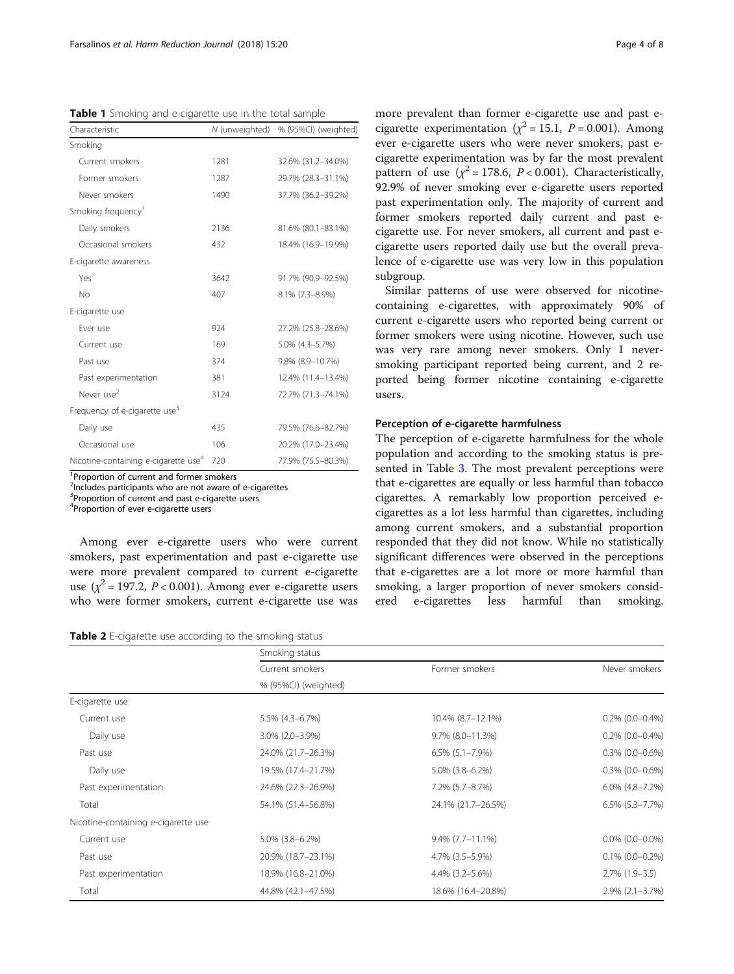<span id="page-3-0"></span>Table 1 Smoking and e-cigarette use in the total sample

| Characteristic                                   | N (unweighted) | % (95%Cl) (weighted) |  |
|--------------------------------------------------|----------------|----------------------|--|
| Smoking                                          |                |                      |  |
| Current smokers                                  | 1281           | 32.6% (31.2-34.0%)   |  |
| Former smokers                                   | 1287           | 29.7% (28.3-31.1%)   |  |
| Never smokers                                    | 1490           | 37.7% (36.2-39.2%)   |  |
| Smoking frequency <sup>1</sup>                   |                |                      |  |
| Daily smokers                                    | 2136           | 81.6% (80.1-83.1%)   |  |
| Occasional smokers                               | 432            | 18.4% (16.9-19.9%)   |  |
| E-cigarette awareness                            |                |                      |  |
| Yes                                              | 3642           | 91.7% (90.9-92.5%)   |  |
| <b>No</b>                                        | 407            | 8.1% (7.3-8.9%)      |  |
| E-cigarette use                                  |                |                      |  |
| Fver use                                         | 924            | 27.2% (25.8-28.6%)   |  |
| Current use                                      | 169            | 5.0% (4.3-5.7%)      |  |
| Past use                                         | 374            | 9.8% (8.9-10.7%)     |  |
| Past experimentation                             | 381            | 12.4% (11.4-13.4%)   |  |
| Never use <sup>2</sup>                           | 3124           | 72.7% (71.3-74.1%)   |  |
| Frequency of e-cigarette use <sup>3</sup>        |                |                      |  |
| Daily use                                        | 435            | 79.5% (76.6-82.7%)   |  |
| Occasional use                                   | 106            | 20.2% (17.0-23.4%)   |  |
| Nicotine-containing e-cigarette use <sup>4</sup> | 720            | 77.9% (75.5-80.3%)   |  |

<sup>1</sup>Proportion of current and former smokers

<sup>2</sup>Includes participants who are not aware of e-cigarettes

<sup>3</sup>Proportion of current and past e-cigarette users

4 Proportion of ever e-cigarette users

Among ever e-cigarette users who were current smokers, past experimentation and past e-cigarette use were more prevalent compared to current e-cigarette use ( $\chi^2$  = 197.2, P < 0.001). Among ever e-cigarette users who were former smokers, current e-cigarette use was

| Table 2 E-cigarette use according to the smoking status |  |  |  |
|---------------------------------------------------------|--|--|--|
|                                                         |  |  |  |

more prevalent than former e-cigarette use and past ecigarette experimentation ( $\chi^2 = 15.1$ ,  $P = 0.001$ ). Among ever e-cigarette users who were never smokers, past ecigarette experimentation was by far the most prevalent pattern of use ( $\chi^2$  = 178.6, P < 0.001). Characteristically, 92.9% of never smoking ever e-cigarette users reported past experimentation only. The majority of current and former smokers reported daily current and past ecigarette use. For never smokers, all current and past ecigarette users reported daily use but the overall prevalence of e-cigarette use was very low in this population subgroup.

Similar patterns of use were observed for nicotinecontaining e-cigarettes, with approximately 90% of current e-cigarette users who reported being current or former smokers were using nicotine. However, such use was very rare among never smokers. Only 1 neversmoking participant reported being current, and 2 reported being former nicotine containing e-cigarette users.

## Perception of e-cigarette harmfulness

The perception of e-cigarette harmfulness for the whole population and according to the smoking status is presented in Table [3](#page-4-0). The most prevalent perceptions were that e-cigarettes are equally or less harmful than tobacco cigarettes. A remarkably low proportion perceived ecigarettes as a lot less harmful than cigarettes, including among current smokers, and a substantial proportion responded that they did not know. While no statistically significant differences were observed in the perceptions that e-cigarettes are a lot more or more harmful than smoking, a larger proportion of never smokers considered e-cigarettes less harmful than smoking.

|                                     | Smoking status       |                         |                    |  |  |  |
|-------------------------------------|----------------------|-------------------------|--------------------|--|--|--|
|                                     | Current smokers      | Former smokers          | Never smokers      |  |  |  |
|                                     | % (95%Cl) (weighted) |                         |                    |  |  |  |
| E-cigarette use                     |                      |                         |                    |  |  |  |
| Current use                         | 5.5% (4.3-6.7%)      | 10.4% (8.7-12.1%)       | $0.2\%$ (0.0-0.4%) |  |  |  |
| Daily use                           | $3.0\%$ (2.0-3.9%)   | 9.7% (8.0-11.3%)        | $0.2\%$ (0.0-0.4%) |  |  |  |
| Past use                            | 24.0% (21.7-26.3%)   | $6.5\%$ $(5.1 - 7.9\%)$ | $0.3\%$ (0.0-0.6%) |  |  |  |
| Daily use                           | 19.5% (17.4-21.7%)   | $5.0\%$ (3.8-6.2%)      | $0.3\%$ (0.0-0.6%) |  |  |  |
| Past experimentation                | 24.6% (22.3-26.9%)   | 7.2% (5.7-8.7%)         | 6.0% (4.8-7.2%)    |  |  |  |
| Total                               | 54.1% (51.4–56.8%)   | 24.1% (21.7-26.5%)      | 6.5% (5.3-7.7%)    |  |  |  |
| Nicotine-containing e-cigarette use |                      |                         |                    |  |  |  |
| Current use                         | 5.0% (3.8-6.2%)      | $9.4\%$ (7.7-11.1%)     | $0.0\%$ (0.0-0.0%) |  |  |  |
| Past use                            | 20.9% (18.7-23.1%)   | 4.7% (3.5-5.9%)         | $0.1\%$ (0.0-0.2%) |  |  |  |
| Past experimentation                | 18.9% (16.8-21.0%)   | 4.4% (3.2–5.6%)         | $2.7\%$ (1.9-3.5)  |  |  |  |
| Total                               | 44.8% (42.1-47.5%)   | 18.6% (16.4-20.8%)      | $2.9\%$ (2.1-3.7%) |  |  |  |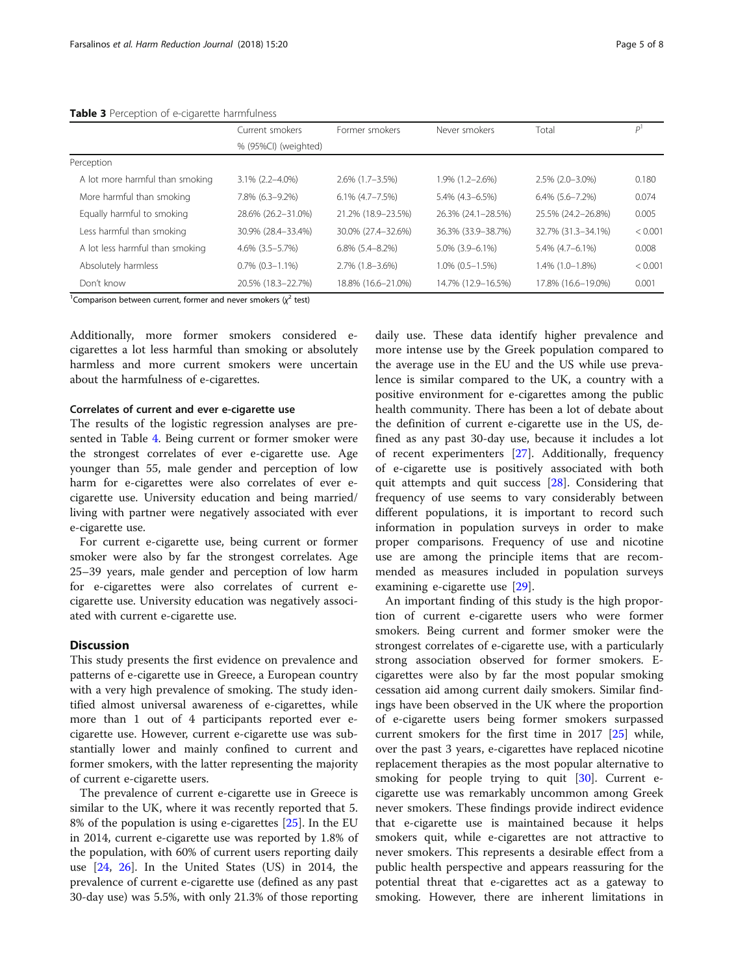|                                 | Current smokers       | Former smokers          | Never smokers           | Total                   | $D^1$   |  |
|---------------------------------|-----------------------|-------------------------|-------------------------|-------------------------|---------|--|
|                                 | % (95%Cl) (weighted)  |                         |                         |                         |         |  |
| Perception                      |                       |                         |                         |                         |         |  |
| A lot more harmful than smoking | 3.1% (2.2-4.0%)       | $2.6\%$ (1.7-3.5%)      | 1.9% (1.2-2.6%)         | $2.5\%$ (2.0-3.0%)      | 0.180   |  |
| More harmful than smoking       | 7.8% (6.3-9.2%)       | $6.1\%$ (4.7-7.5%)      | 5.4% (4.3-6.5%)         | $6.4\%$ $(5.6 - 7.2\%)$ | 0.074   |  |
| Equally harmful to smoking      | 28.6% (26.2-31.0%)    | 21.2% (18.9-23.5%)      | 26.3% (24.1-28.5%)      | 25.5% (24.2-26.8%)      | 0.005   |  |
| Less harmful than smoking       | 30.9% (28.4-33.4%)    | 30.0% (27.4-32.6%)      | 36.3% (33.9-38.7%)      | 32.7% (31.3-34.1%)      | < 0.001 |  |
| A lot less harmful than smoking | $4.6\%$ $(3.5-5.7\%)$ | $6.8\%$ $(5.4 - 8.2\%)$ | $5.0\%$ $(3.9 - 6.1\%)$ | 5.4% (4.7-6.1%)         | 0.008   |  |
| Absolutely harmless             | $0.7\%$ $(0.3-1.1\%)$ | $2.7\%$ (1.8-3.6%)      | $1.0\%$ (0.5-1.5%)      | 1.4% (1.0-1.8%)         | < 0.001 |  |
| Don't know                      | 20.5% (18.3-22.7%)    | 18.8% (16.6-21.0%)      | 14.7% (12.9-16.5%)      | 17.8% (16.6-19.0%)      | 0.001   |  |

<span id="page-4-0"></span>Table 3 Perception of e-cigarette harmfulness

<sup>1</sup> Comparison between current, former and never smokers ( $\chi^2$  test)

Additionally, more former smokers considered ecigarettes a lot less harmful than smoking or absolutely harmless and more current smokers were uncertain about the harmfulness of e-cigarettes.

#### Correlates of current and ever e-cigarette use

The results of the logistic regression analyses are presented in Table [4](#page-5-0). Being current or former smoker were the strongest correlates of ever e-cigarette use. Age younger than 55, male gender and perception of low harm for e-cigarettes were also correlates of ever ecigarette use. University education and being married/ living with partner were negatively associated with ever e-cigarette use.

For current e-cigarette use, being current or former smoker were also by far the strongest correlates. Age 25–39 years, male gender and perception of low harm for e-cigarettes were also correlates of current ecigarette use. University education was negatively associated with current e-cigarette use.

### **Discussion**

This study presents the first evidence on prevalence and patterns of e-cigarette use in Greece, a European country with a very high prevalence of smoking. The study identified almost universal awareness of e-cigarettes, while more than 1 out of 4 participants reported ever ecigarette use. However, current e-cigarette use was substantially lower and mainly confined to current and former smokers, with the latter representing the majority of current e-cigarette users.

The prevalence of current e-cigarette use in Greece is similar to the UK, where it was recently reported that 5. 8% of the population is using e-cigarettes [\[25](#page-7-0)]. In the EU in 2014, current e-cigarette use was reported by 1.8% of the population, with 60% of current users reporting daily use [[24,](#page-7-0) [26](#page-7-0)]. In the United States (US) in 2014, the prevalence of current e-cigarette use (defined as any past 30-day use) was 5.5%, with only 21.3% of those reporting

daily use. These data identify higher prevalence and more intense use by the Greek population compared to the average use in the EU and the US while use prevalence is similar compared to the UK, a country with a positive environment for e-cigarettes among the public health community. There has been a lot of debate about the definition of current e-cigarette use in the US, defined as any past 30-day use, because it includes a lot of recent experimenters [\[27](#page-7-0)]. Additionally, frequency of e-cigarette use is positively associated with both quit attempts and quit success [\[28](#page-7-0)]. Considering that frequency of use seems to vary considerably between different populations, it is important to record such information in population surveys in order to make proper comparisons. Frequency of use and nicotine use are among the principle items that are recommended as measures included in population surveys examining e-cigarette use [[29](#page-7-0)].

An important finding of this study is the high proportion of current e-cigarette users who were former smokers. Being current and former smoker were the strongest correlates of e-cigarette use, with a particularly strong association observed for former smokers. Ecigarettes were also by far the most popular smoking cessation aid among current daily smokers. Similar findings have been observed in the UK where the proportion of e-cigarette users being former smokers surpassed current smokers for the first time in 2017 [[25\]](#page-7-0) while, over the past 3 years, e-cigarettes have replaced nicotine replacement therapies as the most popular alternative to smoking for people trying to quit [[30\]](#page-7-0). Current ecigarette use was remarkably uncommon among Greek never smokers. These findings provide indirect evidence that e-cigarette use is maintained because it helps smokers quit, while e-cigarettes are not attractive to never smokers. This represents a desirable effect from a public health perspective and appears reassuring for the potential threat that e-cigarettes act as a gateway to smoking. However, there are inherent limitations in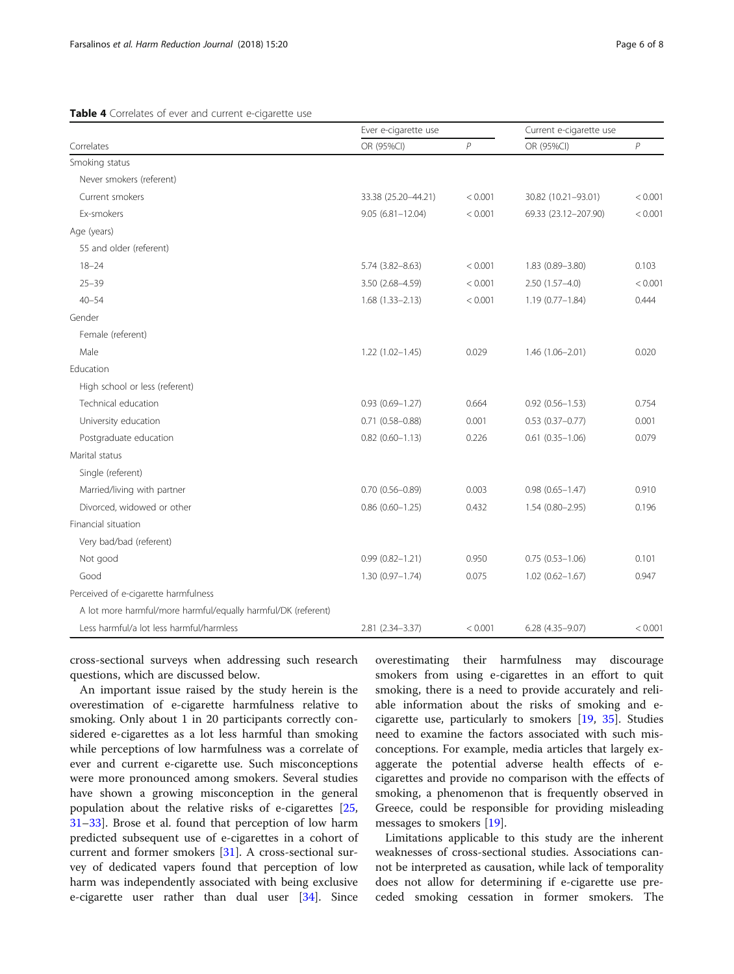<span id="page-5-0"></span>

| Correlates               | Ever e-cigarette use |         |                      |         |
|--------------------------|----------------------|---------|----------------------|---------|
|                          | OR (95%CI)           | D       | OR (95%CI)           | P       |
| Smoking status           |                      |         |                      |         |
| Never smokers (referent) |                      |         |                      |         |
| Current smokers          | 33.38 (25.20-44.21)  | < 0.001 | 30.82 (10.21-93.01)  | < 0.001 |
| <b>Fx-smokers</b>        | $9.05(6.81 - 12.04)$ | < 0.001 | 69.33 (23.12-207.90) | < 0.001 |
| Age (years)              |                      |         |                      |         |
| 55 and older (referent)  |                      |         |                      |         |
| $18 - 24$                | $5.74(3.82 - 8.63)$  | < 0.001 | $1.83(0.89 - 3.80)$  | 0.103   |
| $25 - 39$                | 3.50 (2.68-4.59)     | < 0.001 | $2.50(1.57 - 4.0)$   | < 0.001 |

| Ex-smokers                                                    | $9.05(6.81 - 12.04)$ | < 0.001 | 69.33 (23.12-207.90) | < 0.001 |
|---------------------------------------------------------------|----------------------|---------|----------------------|---------|
| Age (years)                                                   |                      |         |                      |         |
| 55 and older (referent)                                       |                      |         |                      |         |
| $18 - 24$                                                     | 5.74 (3.82-8.63)     | < 0.001 | 1.83 (0.89-3.80)     | 0.103   |
| $25 - 39$                                                     | 3.50 (2.68-4.59)     | < 0.001 | $2.50(1.57 - 4.0)$   | < 0.001 |
| $40 - 54$                                                     | $1.68(1.33 - 2.13)$  | < 0.001 | $1.19(0.77 - 1.84)$  | 0.444   |
| Gender                                                        |                      |         |                      |         |
| Female (referent)                                             |                      |         |                      |         |
| Male                                                          | $1.22(1.02 - 1.45)$  | 0.029   | 1.46 (1.06-2.01)     | 0.020   |
| Education                                                     |                      |         |                      |         |
| High school or less (referent)                                |                      |         |                      |         |
| Technical education                                           | $0.93(0.69 - 1.27)$  | 0.664   | $0.92(0.56 - 1.53)$  | 0.754   |
| University education                                          | $0.71(0.58 - 0.88)$  | 0.001   | $0.53(0.37 - 0.77)$  | 0.001   |
| Postgraduate education                                        | $0.82$ (0.60-1.13)   | 0.226   | $0.61(0.35 - 1.06)$  | 0.079   |
| Marital status                                                |                      |         |                      |         |
| Single (referent)                                             |                      |         |                      |         |
| Married/living with partner                                   | $0.70(0.56 - 0.89)$  | 0.003   | $0.98(0.65 - 1.47)$  | 0.910   |
| Divorced, widowed or other                                    | $0.86$ (0.60-1.25)   | 0.432   | 1.54 (0.80-2.95)     | 0.196   |
| Financial situation                                           |                      |         |                      |         |
| Very bad/bad (referent)                                       |                      |         |                      |         |
| Not good                                                      | $0.99(0.82 - 1.21)$  | 0.950   | $0.75(0.53 - 1.06)$  | 0.101   |
| Good                                                          | $1.30(0.97 - 1.74)$  | 0.075   | $1.02$ (0.62-1.67)   | 0.947   |
| Perceived of e-cigarette harmfulness                          |                      |         |                      |         |
| A lot more harmful/more harmful/equally harmful/DK (referent) |                      |         |                      |         |
| Less harmful/a lot less harmful/harmless                      | 2.81 (2.34-3.37)     | < 0.001 | 6.28 (4.35-9.07)     | < 0.001 |

cross-sectional surveys when addressing such research questions, which are discussed below.

An important issue raised by the study herein is the overestimation of e-cigarette harmfulness relative to smoking. Only about 1 in 20 participants correctly considered e-cigarettes as a lot less harmful than smoking while perceptions of low harmfulness was a correlate of ever and current e-cigarette use. Such misconceptions were more pronounced among smokers. Several studies have shown a growing misconception in the general population about the relative risks of e-cigarettes [[25](#page-7-0), [31](#page-7-0)–[33](#page-7-0)]. Brose et al. found that perception of low harm predicted subsequent use of e-cigarettes in a cohort of current and former smokers [\[31\]](#page-7-0). A cross-sectional survey of dedicated vapers found that perception of low harm was independently associated with being exclusive e-cigarette user rather than dual user [[34](#page-7-0)]. Since

overestimating their harmfulness may discourage smokers from using e-cigarettes in an effort to quit smoking, there is a need to provide accurately and reliable information about the risks of smoking and ecigarette use, particularly to smokers [[19,](#page-6-0) [35\]](#page-7-0). Studies need to examine the factors associated with such misconceptions. For example, media articles that largely exaggerate the potential adverse health effects of ecigarettes and provide no comparison with the effects of smoking, a phenomenon that is frequently observed in Greece, could be responsible for providing misleading messages to smokers [\[19](#page-6-0)].

Limitations applicable to this study are the inherent weaknesses of cross-sectional studies. Associations cannot be interpreted as causation, while lack of temporality does not allow for determining if e-cigarette use preceded smoking cessation in former smokers. The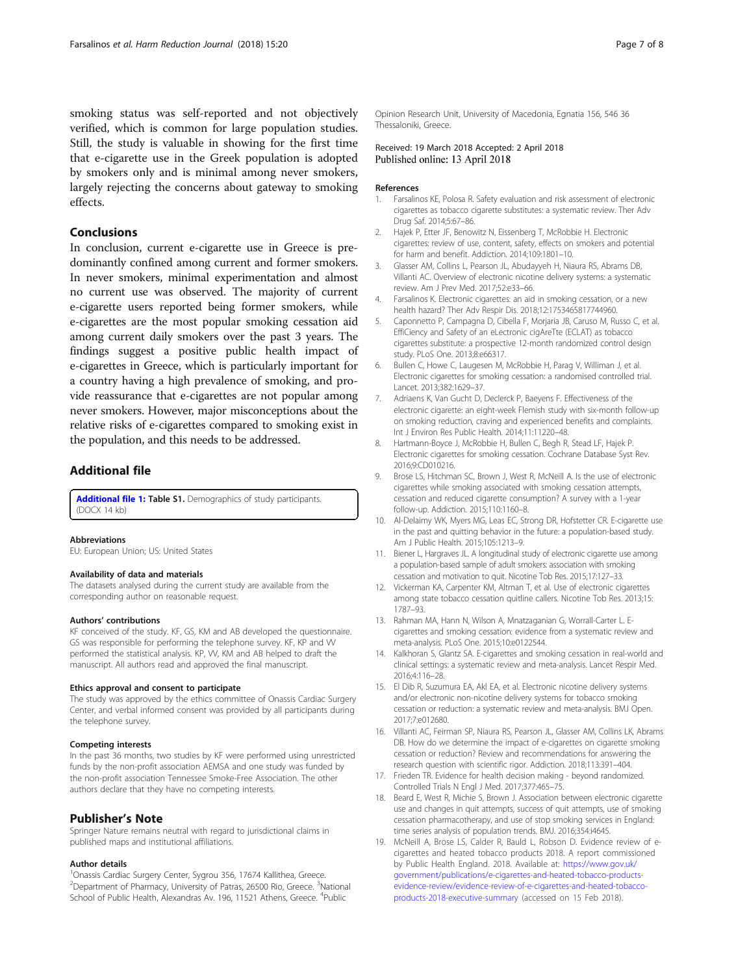<span id="page-6-0"></span>smoking status was self-reported and not objectively verified, which is common for large population studies. Still, the study is valuable in showing for the first time that e-cigarette use in the Greek population is adopted by smokers only and is minimal among never smokers, largely rejecting the concerns about gateway to smoking effects.

## Conclusions

In conclusion, current e-cigarette use in Greece is predominantly confined among current and former smokers. In never smokers, minimal experimentation and almost no current use was observed. The majority of current e-cigarette users reported being former smokers, while e-cigarettes are the most popular smoking cessation aid among current daily smokers over the past 3 years. The findings suggest a positive public health impact of e-cigarettes in Greece, which is particularly important for a country having a high prevalence of smoking, and provide reassurance that e-cigarettes are not popular among never smokers. However, major misconceptions about the relative risks of e-cigarettes compared to smoking exist in the population, and this needs to be addressed.

## Additional file

[Additional file 1:](https://doi.org/10.1186/s12954-018-0229-7) Table S1. Demographics of study participants. (DOCX 14 kb)

#### Abbreviations

EU: European Union; US: United States

#### Availability of data and materials

The datasets analysed during the current study are available from the corresponding author on reasonable request.

#### Authors' contributions

KF conceived of the study. KF, GS, KM and AB developed the questionnaire. GS was responsible for performing the telephone survey. KF, KP and VV performed the statistical analysis. KP, VV, KM and AB helped to draft the manuscript. All authors read and approved the final manuscript.

#### Ethics approval and consent to participate

The study was approved by the ethics committee of Onassis Cardiac Surgery Center, and verbal informed consent was provided by all participants during the telephone survey.

#### Competing interests

In the past 36 months, two studies by KF were performed using unrestricted funds by the non-profit association AEMSA and one study was funded by the non-profit association Tennessee Smoke-Free Association. The other authors declare that they have no competing interests.

## Publisher's Note

Springer Nature remains neutral with regard to jurisdictional claims in published maps and institutional affiliations.

#### Author details

<sup>1</sup>Onassis Cardiac Surgery Center, Sygrou 356, 17674 Kallithea, Greece. <sup>2</sup>Department of Pharmacy, University of Patras, 26500 Rio, Greece. <sup>3</sup>National School of Public Health, Alexandras Av. 196, 11521 Athens, Greece. <sup>4</sup>Public

Opinion Research Unit, University of Macedonia, Egnatia 156, 546 36 Thessaloniki, Greece.

#### Received: 19 March 2018 Accepted: 2 April 2018 Published online: 13 April 2018

#### References

- 1. Farsalinos KE, Polosa R. Safety evaluation and risk assessment of electronic cigarettes as tobacco cigarette substitutes: a systematic review. Ther Adv Drug Saf. 2014;5:67–86.
- 2. Hajek P, Etter JF, Benowitz N, Eissenberg T, McRobbie H. Electronic cigarettes: review of use, content, safety, effects on smokers and potential for harm and benefit. Addiction. 2014;109:1801–10.
- 3. Glasser AM, Collins L, Pearson JL, Abudayyeh H, Niaura RS, Abrams DB, Villanti AC. Overview of electronic nicotine delivery systems: a systematic review. Am J Prev Med. 2017;52:e33–66.
- 4. Farsalinos K. Electronic cigarettes: an aid in smoking cessation, or a new health hazard? Ther Adv Respir Dis. 2018;12:1753465817744960.
- 5. Caponnetto P, Campagna D, Cibella F, Morjaria JB, Caruso M, Russo C, et al. EffiCiency and Safety of an eLectronic cigAreTte (ECLAT) as tobacco cigarettes substitute: a prospective 12-month randomized control design study. PLoS One. 2013;8:e66317.
- 6. Bullen C, Howe C, Laugesen M, McRobbie H, Parag V, Williman J, et al. Electronic cigarettes for smoking cessation: a randomised controlled trial. Lancet. 2013;382:1629–37.
- 7. Adriaens K, Van Gucht D, Declerck P, Baeyens F. Effectiveness of the electronic cigarette: an eight-week Flemish study with six-month follow-up on smoking reduction, craving and experienced benefits and complaints. Int J Environ Res Public Health. 2014;11:11220–48.
- 8. Hartmann-Boyce J, McRobbie H, Bullen C, Begh R, Stead LF, Hajek P. Electronic cigarettes for smoking cessation. Cochrane Database Syst Rev. 2016;9:CD010216.
- 9. Brose LS, Hitchman SC, Brown J, West R, McNeill A. Is the use of electronic cigarettes while smoking associated with smoking cessation attempts, cessation and reduced cigarette consumption? A survey with a 1-year follow-up. Addiction. 2015;110:1160–8.
- 10. Al-Delaimy WK, Myers MG, Leas EC, Strong DR, Hofstetter CR. E-cigarette use in the past and quitting behavior in the future: a population-based study. Am J Public Health. 2015;105:1213–9.
- 11. Biener L, Hargraves JL. A longitudinal study of electronic cigarette use among a population-based sample of adult smokers: association with smoking cessation and motivation to quit. Nicotine Tob Res. 2015;17:127–33.
- 12. Vickerman KA, Carpenter KM, Altman T, et al. Use of electronic cigarettes among state tobacco cessation quitline callers. Nicotine Tob Res. 2013;15: 1787–93.
- 13. Rahman MA, Hann N, Wilson A, Mnatzaganian G, Worrall-Carter L. Ecigarettes and smoking cessation: evidence from a systematic review and meta-analysis. PLoS One. 2015;10:e0122544.
- 14. Kalkhoran S, Glantz SA. E-cigarettes and smoking cessation in real-world and clinical settings: a systematic review and meta-analysis. Lancet Respir Med. 2016;4:116–28.
- 15. El Dib R, Suzumura EA, Akl EA, et al. Electronic nicotine delivery systems and/or electronic non-nicotine delivery systems for tobacco smoking cessation or reduction: a systematic review and meta-analysis. BMJ Open. 2017;7:e012680.
- 16. Villanti AC, Feirman SP, Niaura RS, Pearson JL, Glasser AM, Collins LK, Abrams DB. How do we determine the impact of e-cigarettes on cigarette smoking cessation or reduction? Review and recommendations for answering the research question with scientific rigor. Addiction. 2018;113:391–404.
- 17. Frieden TR. Evidence for health decision making beyond randomized. Controlled Trials N Engl J Med. 2017;377:465–75.
- 18. Beard E, West R, Michie S, Brown J. Association between electronic cigarette use and changes in quit attempts, success of quit attempts, use of smoking cessation pharmacotherapy, and use of stop smoking services in England: time series analysis of population trends. BMJ. 2016;354:i4645.
- 19. McNeill A, Brose LS, Calder R, Bauld L, Robson D. Evidence review of ecigarettes and heated tobacco products 2018. A report commissioned by Public Health England. 2018. Available at: [https://www.gov.uk/](https://www.gov.uk/government/publications/e-cigarettes-and-heated-tobacco-products-evidence-review/evidence-review-of-e-cigarettes-and-heated-tobacco-products-2018-executive-summary) [government/publications/e-cigarettes-and-heated-tobacco-products](https://www.gov.uk/government/publications/e-cigarettes-and-heated-tobacco-products-evidence-review/evidence-review-of-e-cigarettes-and-heated-tobacco-products-2018-executive-summary)[evidence-review/evidence-review-of-e-cigarettes-and-heated-tobacco](https://www.gov.uk/government/publications/e-cigarettes-and-heated-tobacco-products-evidence-review/evidence-review-of-e-cigarettes-and-heated-tobacco-products-2018-executive-summary)[products-2018-executive-summary](https://www.gov.uk/government/publications/e-cigarettes-and-heated-tobacco-products-evidence-review/evidence-review-of-e-cigarettes-and-heated-tobacco-products-2018-executive-summary) (accessed on 15 Feb 2018).